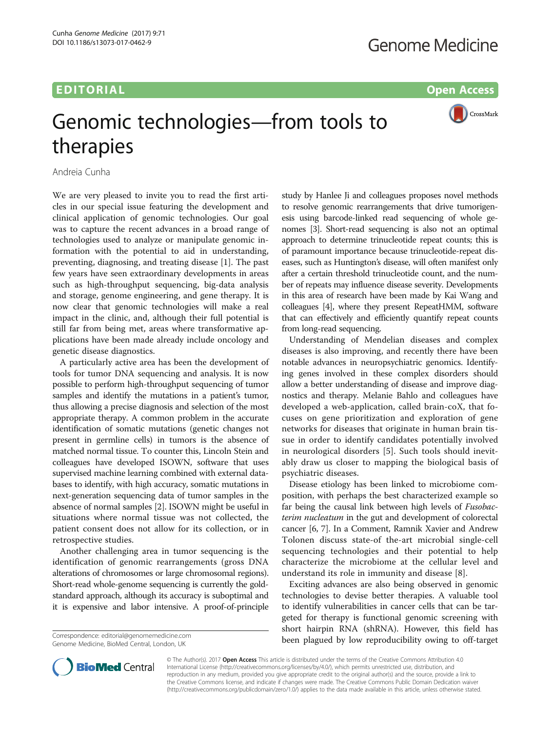## EDITORIAL AND Open Access to the control of the control of the control of the control of the control of the co



# Genomic technologies—from tools to<br>therapies

therapies Andreia Cunha

We are very pleased to invite you to read the first articles in our special issue featuring the development and clinical application of genomic technologies. Our goal was to capture the recent advances in a broad range of technologies used to analyze or manipulate genomic information with the potential to aid in understanding, preventing, diagnosing, and treating disease [[1\]](#page-1-0). The past few years have seen extraordinary developments in areas such as high-throughput sequencing, big-data analysis and storage, genome engineering, and gene therapy. It is now clear that genomic technologies will make a real impact in the clinic, and, although their full potential is still far from being met, areas where transformative applications have been made already include oncology and genetic disease diagnostics.

A particularly active area has been the development of tools for tumor DNA sequencing and analysis. It is now possible to perform high-throughput sequencing of tumor samples and identify the mutations in a patient's tumor, thus allowing a precise diagnosis and selection of the most appropriate therapy. A common problem in the accurate identification of somatic mutations (genetic changes not present in germline cells) in tumors is the absence of matched normal tissue. To counter this, Lincoln Stein and colleagues have developed ISOWN, software that uses supervised machine learning combined with external databases to identify, with high accuracy, somatic mutations in next-generation sequencing data of tumor samples in the absence of normal samples [\[2\]](#page-1-0). ISOWN might be useful in situations where normal tissue was not collected, the patient consent does not allow for its collection, or in retrospective studies.

Another challenging area in tumor sequencing is the identification of genomic rearrangements (gross DNA alterations of chromosomes or large chromosomal regions). Short-read whole-genome sequencing is currently the goldstandard approach, although its accuracy is suboptimal and it is expensive and labor intensive. A proof-of-principle

Genome Medicine, BioMed Central, London, UK

study by Hanlee Ji and colleagues proposes novel methods to resolve genomic rearrangements that drive tumorigenesis using barcode-linked read sequencing of whole genomes [\[3\]](#page-1-0). Short-read sequencing is also not an optimal approach to determine trinucleotide repeat counts; this is of paramount importance because trinucleotide-repeat diseases, such as Huntington's disease, will often manifest only after a certain threshold trinucleotide count, and the number of repeats may influence disease severity. Developments in this area of research have been made by Kai Wang and colleagues [[4](#page-1-0)], where they present RepeatHMM, software that can effectively and efficiently quantify repeat counts from long-read sequencing.

Understanding of Mendelian diseases and complex diseases is also improving, and recently there have been notable advances in neuropsychiatric genomics. Identifying genes involved in these complex disorders should allow a better understanding of disease and improve diagnostics and therapy. Melanie Bahlo and colleagues have developed a web-application, called brain-coX, that focuses on gene prioritization and exploration of gene networks for diseases that originate in human brain tissue in order to identify candidates potentially involved in neurological disorders [\[5](#page-1-0)]. Such tools should inevitably draw us closer to mapping the biological basis of psychiatric diseases.

Disease etiology has been linked to microbiome composition, with perhaps the best characterized example so far being the causal link between high levels of Fusobacterim nucleatum in the gut and development of colorectal cancer [\[6, 7](#page-1-0)]. In a Comment, Ramnik Xavier and Andrew Tolonen discuss state-of the-art microbial single-cell sequencing technologies and their potential to help characterize the microbiome at the cellular level and understand its role in immunity and disease [\[8](#page-1-0)].

Exciting advances are also being observed in genomic technologies to devise better therapies. A valuable tool to identify vulnerabilities in cancer cells that can be targeted for therapy is functional genomic screening with short hairpin RNA (shRNA). However, this field has been plagued by low reproducibility owing to off-target Correspondence: [editorial@genomemedicine.com](mailto:editorial@genomemedicine.com)



© The Author(s). 2017 Open Access This article is distributed under the terms of the Creative Commons Attribution 4.0 International License [\(http://creativecommons.org/licenses/by/4.0/](http://creativecommons.org/licenses/by/4.0/)), which permits unrestricted use, distribution, and reproduction in any medium, provided you give appropriate credit to the original author(s) and the source, provide a link to the Creative Commons license, and indicate if changes were made. The Creative Commons Public Domain Dedication waiver [\(http://creativecommons.org/publicdomain/zero/1.0/](http://creativecommons.org/publicdomain/zero/1.0/)) applies to the data made available in this article, unless otherwise stated.